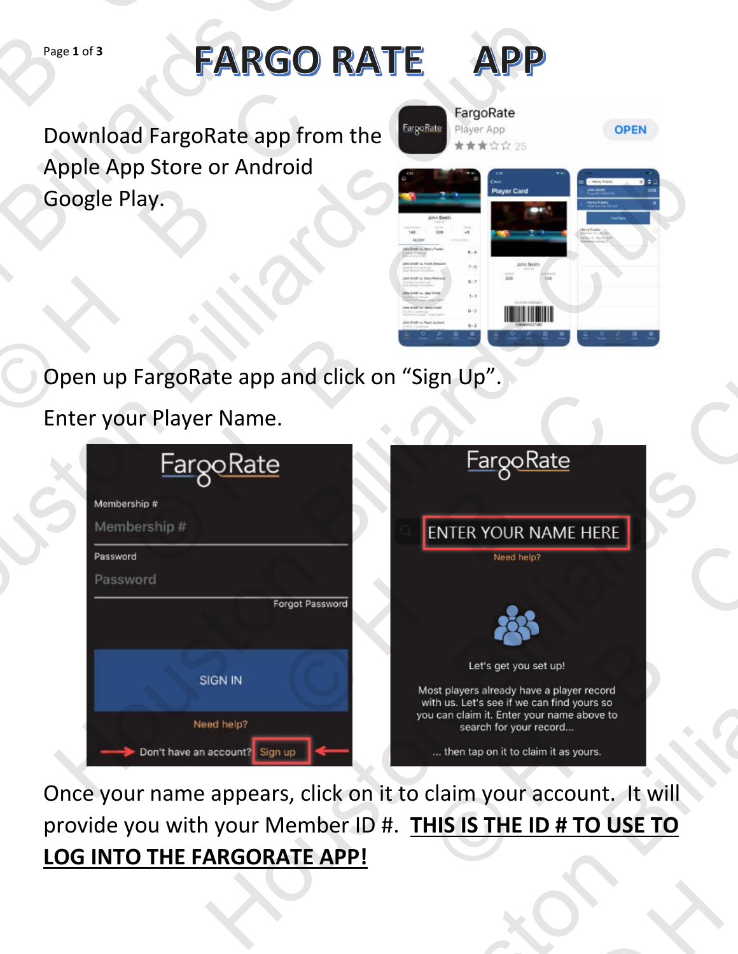## Page **1** of **3**

Download FargoRate app from the Apple App Store or Android Google Play. Page 1 of 3<br>
Download Farg<br>
Apple App Stor<br>
Google Play. Page 1 of 3<br>
Download FargoRate app from the<br>
Apple App Store or Android<br>
Google Play.<br>
Open up FargoRate app and click on "S<br>
Enter your Player Name.<br>
EargoRate Download FargoRate app from<br>Apple App Store or Android<br>Google Play.<br>Open up FargoRate app and cl



| Page 1 of 3                                         | <b>FARGO RATE</b>                                                                                                                                                                                                  | APP                                                                                                                                                                                                                                                                                        |             |
|-----------------------------------------------------|--------------------------------------------------------------------------------------------------------------------------------------------------------------------------------------------------------------------|--------------------------------------------------------------------------------------------------------------------------------------------------------------------------------------------------------------------------------------------------------------------------------------------|-------------|
| Google Play.                                        | <b>FargoRate</b><br>Download FargoRate app from the<br>Apple App Store or Android<br>Mil Shelb us, Frank Sin<br>Edie Sroot in Mary Peru<br>like Greik im John Smit<br>the brail or Jams End<br>Strellt on Ryen Jan | FargoRate<br>Player App<br>★★★☆☆ 25<br>Player Card<br>$D - 2$                                                                                                                                                                                                                              | <b>OPEN</b> |
|                                                     | Open up FargoRate app and click on "Sign Up".                                                                                                                                                                      |                                                                                                                                                                                                                                                                                            |             |
|                                                     | Enter your Player Name.                                                                                                                                                                                            |                                                                                                                                                                                                                                                                                            |             |
| Membership #<br>Membership#<br>Password<br>Password | <u>FargoRate</u><br><b>Forgot Password</b><br>SIGN IN<br>Need help?<br>Don't have an account? Sign up                                                                                                              | <b>FargoRate</b><br>ENTER YOUR NAME HERE<br>Need help?<br>Let's get you set up!<br>Most players already have a player record<br>with us. Let's see if we can find yours so<br>you can claim it. Enter your name above to<br>search for your record<br>then tap on it to claim it as yours. |             |
|                                                     | Once your name appears, click on it to claim your account. It will                                                                                                                                                 |                                                                                                                                                                                                                                                                                            |             |
|                                                     | provide you with your Member ID #. THIS IS THE ID # TO USE TO<br><b>LOG INTO THE FARGORATE APP!</b>                                                                                                                |                                                                                                                                                                                                                                                                                            |             |
|                                                     |                                                                                                                                                                                                                    |                                                                                                                                                                                                                                                                                            |             |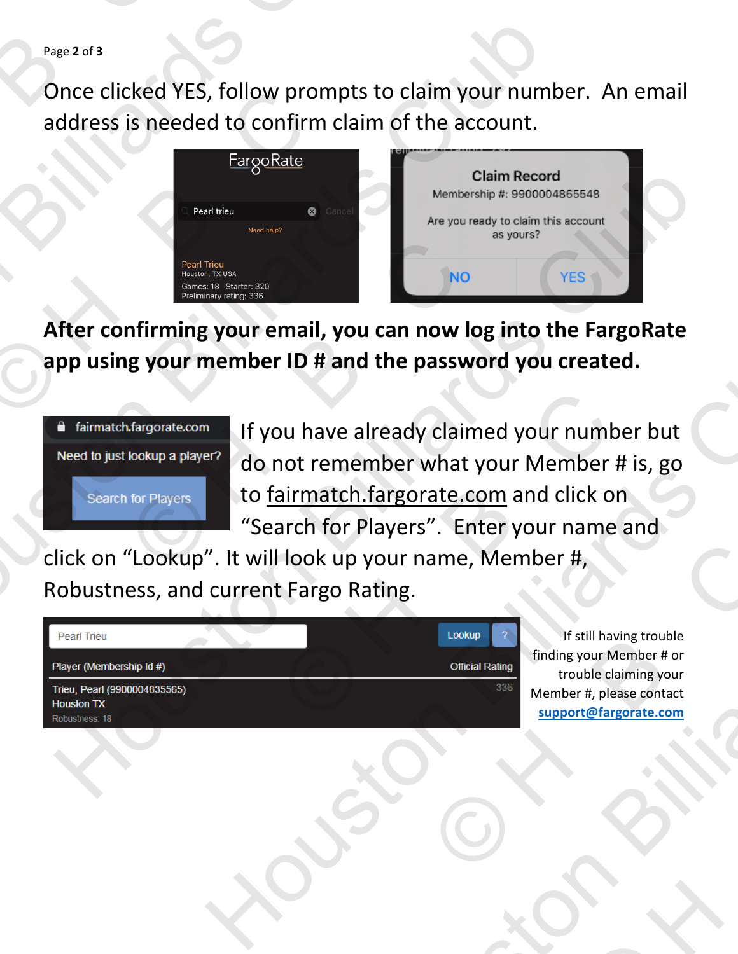Page **2** of **3**

Once clicked YES, follow prompts to claim your number. An email address is needed to confirm claim of the account. Page 2 of 3<br>Once clicked Y<br>address is need



**After confirming your email, you can now log into the FargoRate app using your member ID # and the password you created.** 



If you have already claimed your number but do not remember what your Member # is, go to fairmatch.fargorate.com and click on "Search for Players". Enter your name and Pearl Trieu<br>
Sames: is Starter. 320<br>
Preliminary rating: 336<br> **Infirming your email, you can now log**<br> **If you have already claims**<br> **If you have already claims**<br> **If you have already claims**<br> **If you have already claims**<br> bu have already claimed your number<br>
not remember what your Member # i<br>
airmatch.fargorate.com and click on<br>
arch for Players". Enter your name are<br>
look up your name, Member #,<br>
t Fargo Rating.<br>
Lookup finding your Member From Physical Representation<br>
How that the password you created.<br>
If you have already claimed your number but<br>
do not remember what your Member # is, go<br>
to <u>fairmatch.fargorate.com</u> and click on<br>
"Search for Players". En Houston Billiards Club

click on "Lookup". It will look up your name, Member #, Robustness, and current Fargo Rating.

| <b>Pearl Trieu</b>                                | Lookup                 | Ω   |  |
|---------------------------------------------------|------------------------|-----|--|
| Player (Membership Id #)                          | <b>Official Rating</b> |     |  |
| Trieu, Pearl (9900004835565)<br><b>Houston TX</b> |                        | 336 |  |
| Robustness: 18                                    |                        |     |  |

If still having trouble finding your Member # or trouble claiming your Member #, please contact **support@fargorate.com**  ELOOKUP<br>
LOOKUP<br>
CIFICIAI Rating<br>
CIFICIAI Rating<br>
CIFICIAI Rating<br>
CIFICIAI Rating<br>
STROM THE CITY OF THE CITY OF THE CITY OF THE CITY OF THE CITY OF THE CITY OF THE CITY OF THE CITY OF THE CITY OF THE CITY OF THE CITY OF © H B C Houston Billiards Club